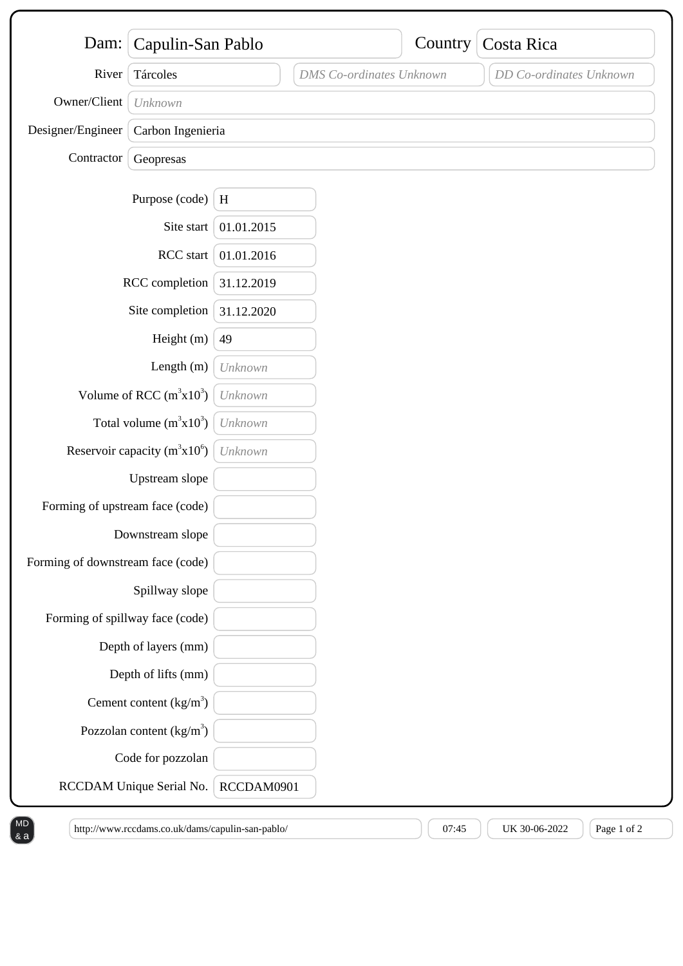| Dam:                              | Capulin-San Pablo          |            |                                 | Country | Costa Rica              |
|-----------------------------------|----------------------------|------------|---------------------------------|---------|-------------------------|
| River                             | Tárcoles                   |            | <b>DMS</b> Co-ordinates Unknown |         | DD Co-ordinates Unknown |
| Owner/Client                      | Unknown                    |            |                                 |         |                         |
| Designer/Engineer                 | Carbon Ingenieria          |            |                                 |         |                         |
| Contractor                        | Geopresas                  |            |                                 |         |                         |
|                                   |                            |            |                                 |         |                         |
|                                   | Purpose (code)             | H          |                                 |         |                         |
|                                   | Site start                 | 01.01.2015 |                                 |         |                         |
| RCC start                         |                            | 01.01.2016 |                                 |         |                         |
| RCC completion                    |                            | 31.12.2019 |                                 |         |                         |
| Site completion                   |                            | 31.12.2020 |                                 |         |                         |
| Height (m)                        |                            | 49         |                                 |         |                         |
| Length (m)                        |                            | Unknown    |                                 |         |                         |
| Volume of RCC $(m^3x10^3)$        |                            | Unknown    |                                 |         |                         |
| Total volume $(m^3x10^3)$         |                            | Unknown    |                                 |         |                         |
| Reservoir capacity $(m^3x10^6)$   |                            | Unknown    |                                 |         |                         |
|                                   | Upstream slope             |            |                                 |         |                         |
| Forming of upstream face (code)   |                            |            |                                 |         |                         |
| Downstream slope                  |                            |            |                                 |         |                         |
| Forming of downstream face (code) |                            |            |                                 |         |                         |
|                                   | Spillway slope             |            |                                 |         |                         |
| Forming of spillway face (code)   |                            |            |                                 |         |                         |
|                                   | Depth of layers (mm)       |            |                                 |         |                         |
|                                   | Depth of lifts (mm)        |            |                                 |         |                         |
|                                   | Cement content $(kg/m3)$   |            |                                 |         |                         |
|                                   | Pozzolan content $(kg/m3)$ |            |                                 |         |                         |
|                                   | Code for pozzolan          |            |                                 |         |                         |
| RCCDAM Unique Serial No.          |                            | RCCDAM0901 |                                 |         |                         |

 $\begin{bmatrix} \text{http://www.rccdams.co.uk/dams/capulin-san-pablo/} \\ \end{bmatrix}$  (07:45  $\begin{bmatrix} 0.7145 \end{bmatrix}$  UK 30-06-2022  $\begin{bmatrix} \text{Page 1 of 2} \\ \end{bmatrix}$ 

& a